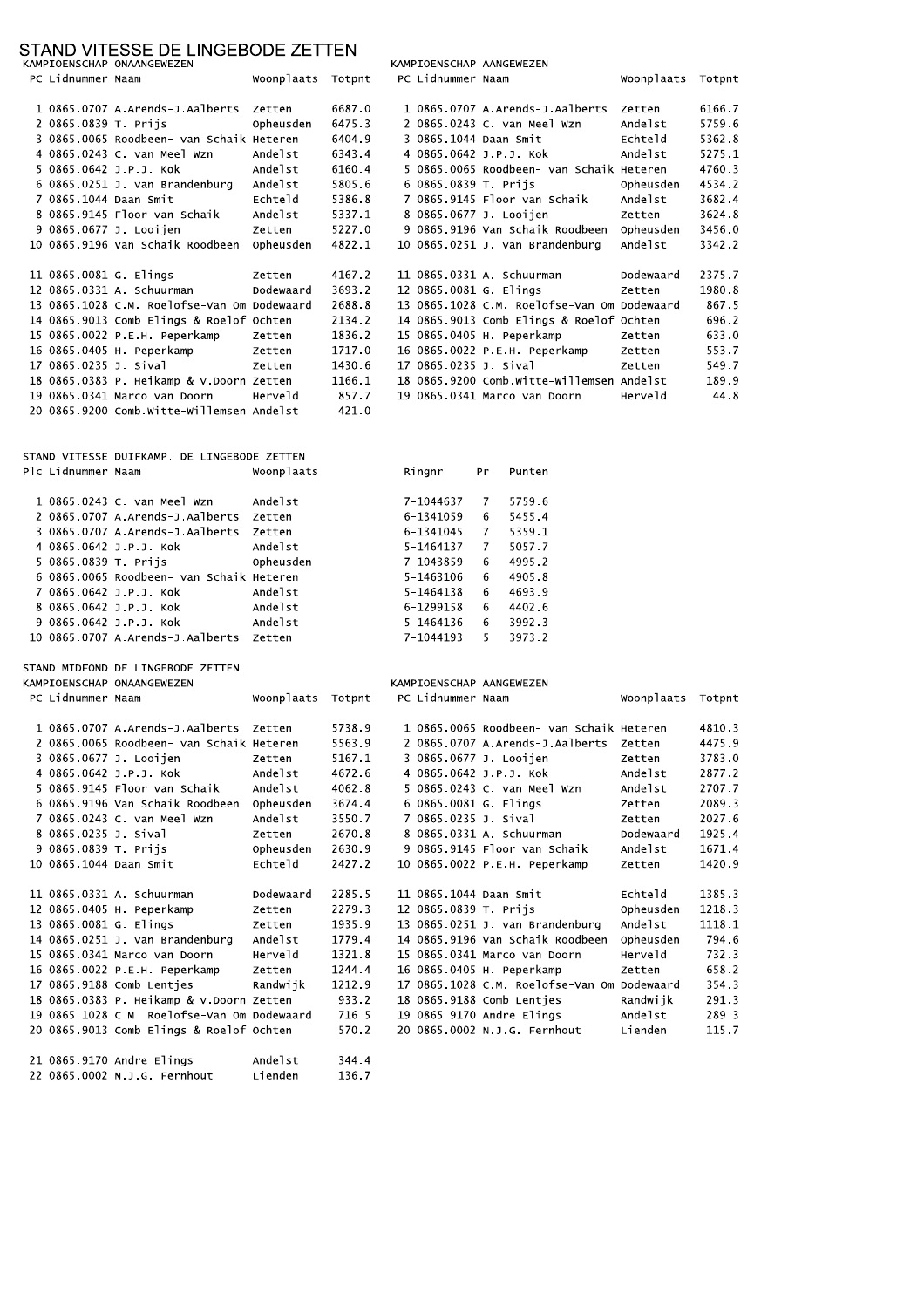### STAND VITESSE DE LINGERODE ZETTEN

11 0865.0331 A. Schuurman

12 0865.0405 H. Peperkamp

15 0865.0341 Marco van Doorn

16 0865.0022 P.E.H. Peperkamp

17 0865.9188 Comb Lentjes

21 0865.9170 Andre Elings

22 0865.0002 N.J.G. Fernhout

14 0865.0251 J. van Brandenburg Andelst

18 0865.0383 P. Heikamp & v.Doorn Zetten

20 0865.9013 Comb Elings & Roelof Ochten

19 0865.1028 C.M. Roelofse-Van Om Dodewaard 716.5

13 0865.0081 G. Elings

|                        | ירות את היה בסטב הבינו ומכנס היה את היה ה<br>KAMPIOENSCHAP ONAANGEWEZEN |                   |        |                        | KAMPIOENSCHAP AANGEWEZEN                    |            |        |
|------------------------|-------------------------------------------------------------------------|-------------------|--------|------------------------|---------------------------------------------|------------|--------|
| PC Lidnummer Naam      |                                                                         | Woonplaats Totpnt |        | PC Lidnummer Naam      |                                             | Woonplaats | Totpnt |
|                        |                                                                         |                   |        |                        |                                             |            |        |
|                        | 1 0865.0707 A.Arends-J.Aalberts Zetten                                  |                   | 6687.0 |                        | 1 0865.0707 A.Arends-J.Aalberts             | Zetten     | 6166.7 |
| 2 0865.0839 T. Prijs   |                                                                         | Opheusden         | 6475.3 |                        | 2 0865.0243 C. van Meel Wzn                 | Andelst    | 5759.6 |
|                        | 3 0865.0065 Roodbeen- van Schaik Heteren                                |                   | 6404.9 | 3 0865.1044 Daan Smit  |                                             | Echteld    | 5362.8 |
|                        | 4 0865.0243 C. van Meel Wzn                                             | Andelst           | 6343.4 |                        | 4 0865.0642 J.P.J. Kok                      | Andelst    | 5275.1 |
|                        | 5 0865.0642 J.P.J. Kok                                                  | Andelst           | 6160.4 |                        | 5 0865.0065 Roodbeen- van Schaik Heteren    |            | 4760.3 |
|                        | 6 0865.0251 J. van Brandenburg                                          | Andelst           | 5805.6 | 6 0865.0839 T. Prijs   |                                             | Opheusden  | 4534.2 |
| 7 0865.1044 Daan Smit  |                                                                         | Echteld           | 5386.8 |                        | 7 0865.9145 Floor van Schaik                | Andelst    | 3682.4 |
|                        | 8 0865.9145 Floor van Schaik                                            | Andelst           | 5337.1 |                        | 8 0865.0677 J. Looijen                      | Zetten     | 3624.8 |
|                        | 9 0865.0677 J. Looijen                                                  | Zetten            | 5227.0 |                        | 9 0865.9196 Van Schaik Roodbeen Opheusden   |            | 3456.0 |
|                        | 10 0865.9196 Van Schaik Roodbeen Opheusden                              |                   | 4822.1 |                        | 10 0865.0251 J. van Brandenburg             | Andelst    | 3342.2 |
| 11 0865.0081 G. Elings |                                                                         | Zetten            | 4167.2 |                        | 11 0865.0331 A. Schuurman                   | Dodewaard  | 2375.7 |
|                        | 12 0865.0331 A. Schuurman                                               | Dodewaard         | 3693.2 | 12 0865.0081 G. Elings |                                             | Zetten     | 1980.8 |
|                        | 13 0865.1028 C.M. Roelofse-Van Om Dodewaard                             |                   | 2688.8 |                        | 13 0865.1028 C.M. Roelofse-Van Om Dodewaard |            | 867.5  |
|                        | 14 0865.9013 Comb Elings & Roelof Ochten                                |                   | 2134.2 |                        | 14 0865.9013 Comb Elings & Roelof Ochten    |            | 696.2  |
|                        | 15 0865.0022 P.E.H. Peperkamp                                           | Zetten            | 1836.2 |                        | 15 0865.0405 H. Peperkamp                   | Zetten     | 633.0  |
|                        | 16 0865.0405 H. Peperkamp                                               | Zetten            | 1717.0 |                        | 16 0865.0022 P.E.H. Peperkamp               | Zetten     | 553.7  |
| 17 0865.0235 J. Sival  |                                                                         | Zetten            | 1430.6 | 17 0865.0235 J. Sival  |                                             | Zetten     | 549.7  |
|                        | 18 0865.0383 P. Heikamp & v.Doorn Zetten                                |                   | 1166.1 |                        | 18 0865.9200 Comb.witte-willemsen Andelst   |            | 189.9  |
|                        | 19 0865.0341 Marco van Doorn                                            | Herveld           | 857.7  |                        | 19 0865.0341 Marco van Doorn                | Herveld    | 44.8   |
|                        | 20 0865.9200 Comb.witte-willemsen Andelst                               |                   | 421.0  |                        |                                             |            |        |
|                        | STAND VITESSE DUIFKAMP. DE LINGEBODE ZETTEN                             |                   |        |                        |                                             |            |        |
| Plc Lidnummer Naam     |                                                                         | Woonplaats        |        | Ringnr                 | Pr<br>Punten                                |            |        |
|                        | 1 0865.0243 C. van Meel Wzn                                             | Andelst           |        | 7-1044637              | 5759.6<br>7                                 |            |        |
|                        | 2 0865.0707 A.Arends-J.Aalberts Zetten                                  |                   |        | 6-1341059              | 6<br>5455.4                                 |            |        |
|                        | 3 0865.0707 A.Arends-J.Aalberts Zetten                                  |                   |        | 6-1341045              | 5359.1<br>7                                 |            |        |
|                        | 4 0865.0642 J.P.J. Kok                                                  | Andelst           |        | 5-1464137              | 7<br>5057.7                                 |            |        |
| 5 0865.0839 T. Prijs   |                                                                         | Opheusden         |        | 7-1043859              | 4995.2<br>6                                 |            |        |
|                        | 6 0865.0065 Roodbeen- van Schaik Heteren                                |                   |        | 5-1463106              | 4905.8<br>6                                 |            |        |
|                        | 7 0865.0642 J.P.J. Kok                                                  | Andelst           |        | 5-1464138              | 6<br>4693.9                                 |            |        |
|                        | 8 0865.0642 J.P.J. Kok                                                  | Andelst           |        | 6-1299158              | 6<br>4402.6                                 |            |        |
|                        | 9 0865.0642 J.P.J. Kok                                                  | Andelst           |        | 5-1464136              | 3992.3<br>6                                 |            |        |
|                        | 10 0865.0707 A.Arends-J.Aalberts Zetten                                 |                   |        | 7-1044193              | 5<br>3973.2                                 |            |        |
|                        |                                                                         |                   |        |                        |                                             |            |        |
|                        | STAND MIDFOND DE LINGEBODE ZETTEN                                       |                   |        |                        |                                             |            |        |
|                        | KAMPIOENSCHAP ONAANGEWEZEN                                              |                   |        |                        | KAMPIOENSCHAP AANGEWEZEN                    |            |        |
| PC Lidnummer Naam      |                                                                         | Woonplaats Totpnt |        | PC Lidnummer Naam      |                                             | Woonplaats | Totpnt |
|                        | 1 0865.0707 A.Arends-J.Aalberts Zetten                                  |                   | 5738.9 |                        | 1 0865.0065 Roodbeen- van Schaik Heteren    |            | 4810.3 |
|                        | 2 0865.0065 Roodbeen- van Schaik Heteren                                |                   | 5563.9 |                        | 2 0865.0707 A.Arends-J.Aalberts Zetten      |            | 4475.9 |
|                        | 3 0865.0677 J. Looijen                                                  | Zetten            | 5167.1 |                        | 3 0865.0677 J. Looijen                      | Zetten     | 3783.0 |
|                        | 4 0865.0642 J.P.J. Kok                                                  | Andelst           | 4672.6 |                        | 4 0865.0642 J.P.J. Kok                      | Andelst    | 2877.2 |
|                        | 5 0865.9145 Floor van Schaik                                            | Andelst           | 4062.8 |                        | 5 0865.0243 C. van Meel Wzn                 | Andelst    | 2707.7 |
|                        | 6 0865.9196 Van Schaik Roodbeen                                         | Opheusden         | 3674.4 | 6 0865.0081 G. Elings  |                                             | Zetten     | 2089.3 |
|                        | 7 0865.0243 C. van Meel Wzn                                             | Andelst           | 3550.7 | 7 0865.0235 J. Sival   |                                             | Zetten     | 2027.6 |
| 8 0865.0235 J. Sival   |                                                                         | Zetten            | 2670.8 |                        | 8 0865.0331 A. Schuurman                    | Dodewaard  | 1925.4 |
| 9 0865.0839 T. Prijs   |                                                                         | Opheusden         | 2630.9 |                        | 9 0865.9145 Floor van Schaik                | Andelst    | 1671.4 |
| 10 0865.1044 Daan Smit |                                                                         | Echteld           | 2427.2 |                        | 10 0865.0022 P.E.H. Peperkamp               | Zetten     | 1420.9 |

Dodewaard 2285.5

Herveld 1321.8

Zetten

Zetten

Zetten

Randwijk

Andelst

Lienden

2279.3

1935.9

1244.4

933.2

570.2

344.4

136.7

1212.9

1779.4

11 0865.1044 Daan Smit

12 0865.0839 T. Prijs

13 0865.0251 J. van Brandenburg

15 0865.0341 Marco van Doorn

20 0865.0002 N.J.G. Fernhout

16 0865.0405 H. Peperkamp

19 0865.9170 Andre Elings

14 0865.9196 Van Schaik Roodbeen Opheusden

17 0865.1028 C.M. Roelofse-Van Om Dodewaard

18 0865.9188 Comb Lentjes Randwijk

Echteld

Andelst

Herveld

Zetten

Andelst

Lienden

Opheusden 1218.3

1385.3

1118.1

794.6

732.3

658.2

354.3

291.3

289.3

115.7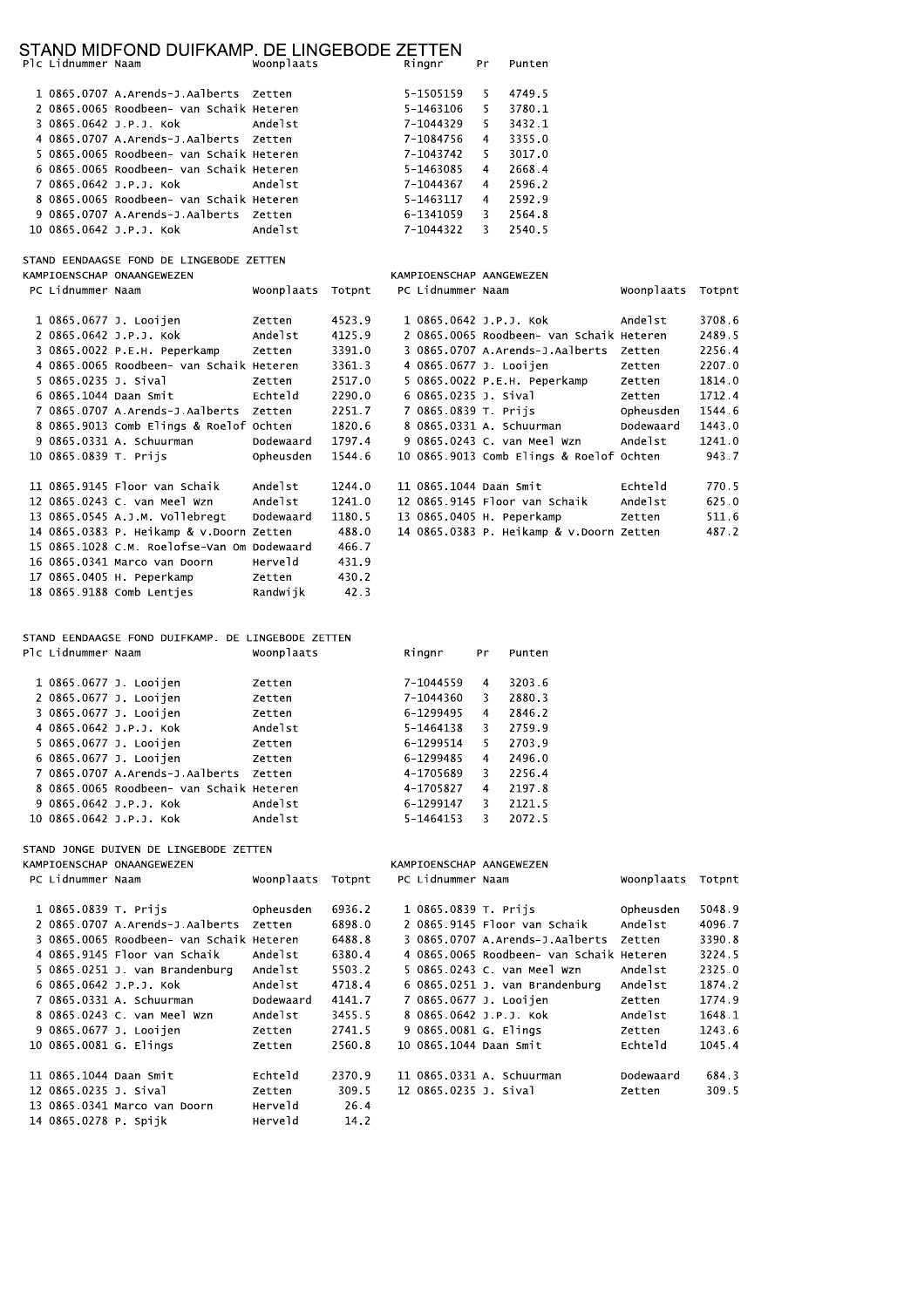## STAND MIDFOND DUIFKAMP. DE LINGEBODE ZETTEN

| PIC L10nummer Naam |                                            | woonplaats | kinghr    |    | Pr Punten |
|--------------------|--------------------------------------------|------------|-----------|----|-----------|
|                    | 1 0865.0707 A.Arends-J.Aalberts Zetten     |            | 5-1505159 | 5. | 4749.5    |
|                    | 2 0865.0065 Roodbeen- van Schaik Heteren   |            | 5-1463106 | 5. | 3780.1    |
|                    | 3 0865.0642 J.P.J. Kok       Andelst       |            | 7-1044329 | 5. | 3432.1    |
|                    | 4 0865.0707 A.Arends-J.Aalberts Zetten     |            | 7-1084756 | 4  | 3355.0    |
|                    | 5 0865.0065 Roodbeen- van Schaik Heteren   |            | 7-1043742 | 5. | 3017.0    |
|                    | 6 0865.0065 Roodbeen- van Schaik Heteren   |            | 5-1463085 | 4  | 2668.4    |
|                    | 7 0865.0642 J.P.J. Kok             Andelst |            | 7-1044367 | 4  | 2596.2    |
|                    | 8 0865,0065 Roodbeen- van Schaik Heteren   |            | 5-1463117 | 4  | 2592.9    |
|                    | 9 0865.0707 A.Arends-J.Aalberts Zetten     |            | 6-1341059 | 3  | 2564.8    |
|                    | 10 0865.0642 J.P.J. Kok Andelst            |            | 7-1044322 | 3  | 2540.5    |

STAND EENDAAGSE FOND DE LINGEBODE ZETTEN

KAMPIOENSCHAP ONAANGEWEZEN PC Lidnummer Naam Woonplaats Totpnt

|                       | 1 0865.0677 J. Looijen                      | Zetten    | 4523.9 |                        | 1 0865.0642 J.P.J. Kok                   | Andelst   | 3708.6 |
|-----------------------|---------------------------------------------|-----------|--------|------------------------|------------------------------------------|-----------|--------|
|                       | 2 0865.0642 J.P.J. Kok                      | Andelst   | 4125.9 |                        | 2 0865.0065 Roodbeen- van Schaik Heteren |           | 2489.5 |
|                       | 3 0865.0022 P.E.H. Peperkamp                | Zetten    | 3391.0 |                        | 3 0865.0707 A.Arends-J.Aalberts          | Zetten    | 2256.4 |
|                       | 4 0865.0065 Roodbeen- van Schaik Heteren    |           | 3361.3 |                        | 4 0865.0677 J. Looijen                   | Zetten    | 2207.0 |
| 5 0865.0235 J. Sival  |                                             | Zetten    | 2517.0 |                        | 5 0865.0022 P.E.H. Peperkamp             | Zetten    | 1814.0 |
|                       | 6 0865.1044 Daan Smit                       | Echteld   | 2290.0 | 6 0865.0235 J. Sival   |                                          | Zetten    | 1712.4 |
|                       | 7 0865.0707 A.Arends-J.Aalberts             | Zetten    | 2251.7 | 7 0865.0839 T. Prijs   |                                          | Opheusden | 1544.6 |
|                       | 8 0865.9013 Comb Elings & Roelof Ochten     |           | 1820.6 |                        | 8 0865.0331 A. Schuurman                 | Dodewaard | 1443.0 |
|                       | 9 0865.0331 A. Schuurman                    | Dodewaard | 1797.4 |                        | 9 0865.0243 C. van Meel Wzn              | Andelst   | 1241.0 |
| 10 0865.0839 T. Prijs |                                             | Opheusden | 1544.6 |                        | 10 0865.9013 Comb Elings & Roelof Ochten |           | 943.7  |
|                       |                                             |           |        |                        |                                          |           |        |
|                       | 11 0865.9145 Floor van Schaik               | Andelst   | 1244.0 | 11 0865.1044 Daan Smit |                                          | Echteld   | 770.5  |
|                       | 12 0865.0243 C. van Meel Wzn                | Andelst   | 1241.0 |                        | 12 0865.9145 Floor van Schaik            | Andelst   | 625.0  |
|                       | 13 0865.0545 A.J.M. Vollebreat              | Dodewaard | 1180.5 |                        | 13 0865.0405 H. Peperkamp                | Zetten    | 511.6  |
|                       | 14 0865.0383 P. Heikamp & v.Doorn Zetten    |           | 488.0  |                        | 14 0865.0383 P. Heikamp & v.Doorn Zetten |           | 487.2  |
|                       | 15 0865.1028 C.M. Roelofse-Van Om Dodewaard |           | 466.7  |                        |                                          |           |        |
|                       | 16 0865.0341 Marco van Doorn                | Herveld   | 431.9  |                        |                                          |           |        |
|                       | 17 0865.0405 H. Peperkamp                   | Zetten    | 430.2  |                        |                                          |           |        |
|                       | 18 0865.9188 Comb Lenties                   | Randwijk  | 42.3   |                        |                                          |           |        |

KAMPIOENSCHAP AANGEWEZEN PC Lidnummer Naam

Woonplaats Totpnt

#### STAND EENDAAGSE FOND DUIFKAMP. DE LINGEBODE ZETTEN Plc Lidnummer Naam Woonplaats

| Plc Lidnummer Naam |                                          | Woonplaats    | Ringnr    | Pr | Punten |
|--------------------|------------------------------------------|---------------|-----------|----|--------|
|                    | 1 0865.0677 J. Looijen                   | Zetten        | 7-1044559 | 4  | 3203.6 |
|                    | 2 0865.0677 J. Looijen                   | Zetten        | 7-1044360 | 3  | 2880.3 |
|                    | 3 0865.0677 J. Looijen                   | Zetten        | 6-1299495 | 4  | 2846.2 |
|                    | 4 0865.0642 J.P.J. Kok                   | Andelst       | 5-1464138 | 3  | 2759.9 |
|                    | 5 0865 0677 J. Looijen                   | Zetten        | 6-1299514 | 5. | 2703.9 |
|                    | 6 0865.0677 J. Looijen                   | Zetten        | 6-1299485 | 4  | 2496.0 |
|                    | 7 0865.0707 A.Arends-J.Aalberts          | <b>Zetten</b> | 4-1705689 | 3. | 2256.4 |
|                    | 8 0865.0065 Roodbeen- van Schaik Heteren |               | 4-1705827 | 4  | 2197.8 |
|                    | 9 0865.0642 J.P.J. Kok                   | Andelst       | 6-1299147 | 3  | 2121.5 |
|                    | 10 0865.0642 J.P.J. Kok                  | Andelst       | 5-1464153 | ٩  | 2072.5 |

#### STAND JONGE DUIVEN DE LINGEBODE ZETTEN

|                        | KAMPIOENSCHAP ONAANGEWEZEN               |            |        | KAMPIOENSCHAP AANGEWEZEN |                                          |            |        |
|------------------------|------------------------------------------|------------|--------|--------------------------|------------------------------------------|------------|--------|
| PC Lidnummer Naam      |                                          | Woonplaats | Totpnt | PC Lidnummer Naam        |                                          | Woonplaats | Totpnt |
| 1 0865.0839 T. Priis   |                                          | Opheusden  | 6936.2 | 1 0865.0839 T. Priis     |                                          | Opheusden  | 5048.9 |
|                        | 2 0865.0707 A.Arends-J.Aalberts          | Zetten     | 6898.0 |                          | 2 0865.9145 Floor van Schaik             | Andelst    | 4096.7 |
|                        | 3 0865.0065 Roodbeen- van Schaik Heteren |            | 6488.8 |                          | 3 0865.0707 A.Arends-J.Aalberts          | Zetten     | 3390.8 |
|                        | 4 0865.9145 Floor van Schaik             | Andelst    | 6380.4 |                          | 4 0865.0065 Roodbeen- van Schaik Heteren |            | 3224.5 |
|                        | 5 0865.0251 J. van Brandenburg           | Andelst    | 5503.2 |                          | 5 0865.0243 C. van Meel Wzn              | Andelst    | 2325.0 |
|                        | 6 0865.0642 J.P.J. Kok                   | Andelst    | 4718.4 |                          | 6 0865.0251 J. van Brandenburg           | Andelst    | 1874.2 |
|                        | 7 0865.0331 A. Schuurman                 | Dodewaard  | 4141.7 | 7 0865.0677 J. Looijen   |                                          | Zetten     | 1774.9 |
|                        | 8 0865.0243 C. van Meel Wzn              | Andelst    | 3455.5 | 8 0865.0642 J.P.J. Kok   |                                          | Andelst    | 1648.1 |
|                        | 9 0865.0677 J. Looijen                   | Zetten     | 2741.5 | 9 0865,0081 G. Elings    |                                          | Zetten     | 1243.6 |
| 10 0865.0081 G. Elings |                                          | Zetten     | 2560.8 | 10 0865.1044 Daan Smit   |                                          | Echteld    | 1045.4 |
| 11 0865.1044 Daan Smit |                                          | Echteld    | 2370.9 |                          | 11 0865.0331 A. Schuurman                | Dodewaard  | 684.3  |
| 12 0865.0235 J. Sival  |                                          | Zetten     | 309.5  | 12 0865.0235 J. Sival    |                                          | Zetten     | 309.5  |
|                        | 13 0865.0341 Marco van Doorn             | Herveld    | 26.4   |                          |                                          |            |        |
| 14 0865.0278 P. Spijk  |                                          | Herveld    | 14.2   |                          |                                          |            |        |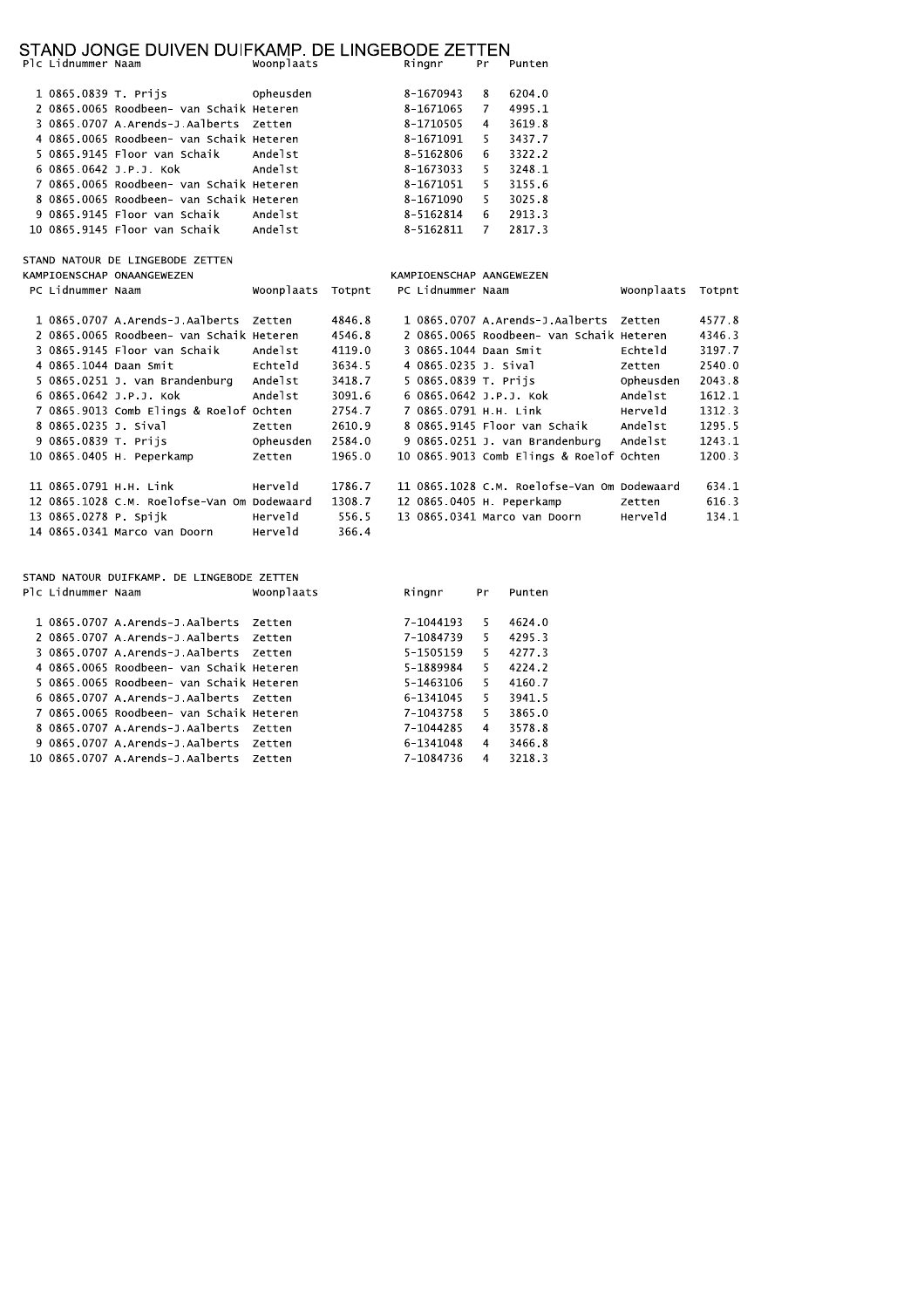# STAND JONGE DUIVEN DUIFKAMP. DE LINGEBODE ZETTEN Plc Lidnummer Naam<br>Plc Lidnummer Naam Woonplaats Ringnr Pr Punten

|  |                                          | $\frac{1}{2}$ | .         |   |        |
|--|------------------------------------------|---------------|-----------|---|--------|
|  | 1 0865.0839 T. Priis                     | Opheusden     | 8-1670943 | 8 | 6204.0 |
|  | 2 0865.0065 Roodbeen- van Schaik Heteren |               | 8-1671065 | 7 | 4995.1 |
|  | 3 0865.0707 A.Arends-J.Aalberts Zetten   |               | 8-1710505 | 4 | 3619.8 |
|  | 4 0865,0065 Roodbeen- van Schaik Heteren |               | 8-1671091 | 5 | 3437.7 |
|  | 5 0865.9145 Floor van Schaik Andelst     |               | 8-5162806 | 6 | 3322.2 |
|  | 6 0865.0642 J.P.J. Kok       Andelst     |               | 8-1673033 | 5 | 3248.1 |
|  | 7 0865,0065 Roodbeen- van Schaik Heteren |               | 8-1671051 | 5 | 3155.6 |
|  | 8 0865,0065 Roodbeen- van Schaik Heteren |               | 8-1671090 | 5 | 3025.8 |
|  | 9 0865.9145 Floor van Schaik             | Andelst       | 8-5162814 | 6 | 2913.3 |
|  | 10 0865.9145 Floor van Schaik Andelst    |               | 8-5162811 | 7 | 2817.3 |

STAND NATOUR DE LINGEBODE ZETTEN

| KAMPIOENSCHAP ONAANGEWEZEN |                                             |            |        | KAMPIOENSCHAP AANGEWEZEN |                                             |            |        |
|----------------------------|---------------------------------------------|------------|--------|--------------------------|---------------------------------------------|------------|--------|
| PC Lidnummer Naam          |                                             | Woonplaats | Totpnt | PC Lidnummer Naam        |                                             | Woonplaats | Totpnt |
|                            |                                             |            |        |                          |                                             |            |        |
|                            | 1 0865.0707 A.Arends-J.Aalberts             | Zetten     | 4846.8 |                          | 1 0865.0707 A.Arends-J.Aalberts             | Zetten     | 4577.8 |
|                            | 2 0865.0065 Roodbeen- van Schaik Heteren    |            | 4546.8 |                          | 2 0865.0065 Roodbeen- van Schaik Heteren    |            | 4346.3 |
|                            | 3 0865.9145 Floor van Schaik                | Andelst    | 4119.0 | 3 0865.1044 Daan Smit    |                                             | Echteld    | 3197.7 |
| 4 0865.1044 Daan Smit      |                                             | Echteld    | 3634.5 | 4 0865.0235 J. Sival     |                                             | Zetten     | 2540.0 |
|                            | 5 0865.0251 J. van Brandenburg              | Andelst    | 3418.7 | 5 0865.0839 T. Prijs     |                                             | Opheusden  | 2043.8 |
| 6 0865.0642 J.P.J. Kok     |                                             | Andelst    | 3091.6 | 6 0865.0642 J.P.J. Kok   |                                             | Andelst    | 1612.1 |
|                            | 7 0865.9013 Comb Elings & Roelof Ochten     |            | 2754.7 | 7 0865.0791 H.H. Link    |                                             | Herveld    | 1312.3 |
| 8 0865.0235 J. Sival       |                                             | Zetten     | 2610.9 |                          | 8 0865.9145 Floor van Schaik                | Andelst    | 1295.5 |
| 9 0865.0839 T. Prijs       |                                             | Opheusden  | 2584.0 |                          | 9 0865.0251 J. van Brandenburg              | Andelst    | 1243.1 |
|                            | 10 0865.0405 H. Peperkamp                   | Zetten     | 1965.0 |                          | 10 0865.9013 Comb Elings & Roelof Ochten    |            | 1200.3 |
|                            |                                             |            |        |                          |                                             |            |        |
| 11 0865.0791 H.H. Link     |                                             | Herveld    | 1786.7 |                          | 11 0865.1028 C.M. Roelofse-Van Om Dodewaard |            | 634.1  |
|                            | 12 0865.1028 C.M. Roelofse-Van Om Dodewaard |            | 1308.7 |                          | 12 0865.0405 H. Peperkamp                   | Zetten     | 616.3  |
| 13 0865.0278 P. Spiik      |                                             | Herveld    | 556.5  |                          | 13 0865.0341 Marco van Doorn                | Herveld    | 134.1  |
|                            | 14 0865.0341 Marco van Doorn                | Herveld    | 366.4  |                          |                                             |            |        |

| STAND NATOUR DUIFKAMP. DE LINGEBODE ZETTEN |                    |                                          |               |           |    |        |  |  |  |  |
|--------------------------------------------|--------------------|------------------------------------------|---------------|-----------|----|--------|--|--|--|--|
|                                            | Plc Lidnummer Naam |                                          | Woonplaats    | Ringnr    | Pr | Punten |  |  |  |  |
|                                            |                    |                                          |               |           |    |        |  |  |  |  |
|                                            |                    | 1 0865.0707 A.Arends-J.Aalberts          | Zetten        | 7-1044193 | 5  | 4624.0 |  |  |  |  |
|                                            |                    | 2 0865.0707 A.Arends-J.Aalberts          | <b>Zetten</b> | 7-1084739 | 5  | 4295.3 |  |  |  |  |
|                                            |                    | 3 0865.0707 A.Arends-1.Aalherts          | 7etten        | 5-1505159 | 5. | 4277.3 |  |  |  |  |
|                                            |                    | 4 0865.0065 Roodbeen- van Schaik Heteren |               | 5-1889984 | 5. | 4224.2 |  |  |  |  |
|                                            |                    | 5 0865.0065 Roodbeen- van Schaik Heteren |               | 5-1463106 | 5. | 4160.7 |  |  |  |  |
|                                            |                    | 6 0865.0707 A.Arends-J.Aalberts          | <b>Zetten</b> | 6-1341045 | 5. | 3941.5 |  |  |  |  |
|                                            |                    | 7 0865.0065 Roodbeen- van Schaik Heteren |               | 7-1043758 | 5  | 3865.0 |  |  |  |  |
|                                            |                    | 8 0865.0707 A.Arends-J.Aalberts          | <b>Zetten</b> | 7-1044285 | 4  | 3578.8 |  |  |  |  |
|                                            |                    | 9 0865.0707 A.Arends-J.Aalberts          | <b>Zetten</b> | 6-1341048 | 4  | 3466.8 |  |  |  |  |
|                                            |                    | 10 0865.0707 A.Arends-J.Aalberts         | 7etten        | 7-1084736 | 4  | 3218.3 |  |  |  |  |
|                                            |                    |                                          |               |           |    |        |  |  |  |  |